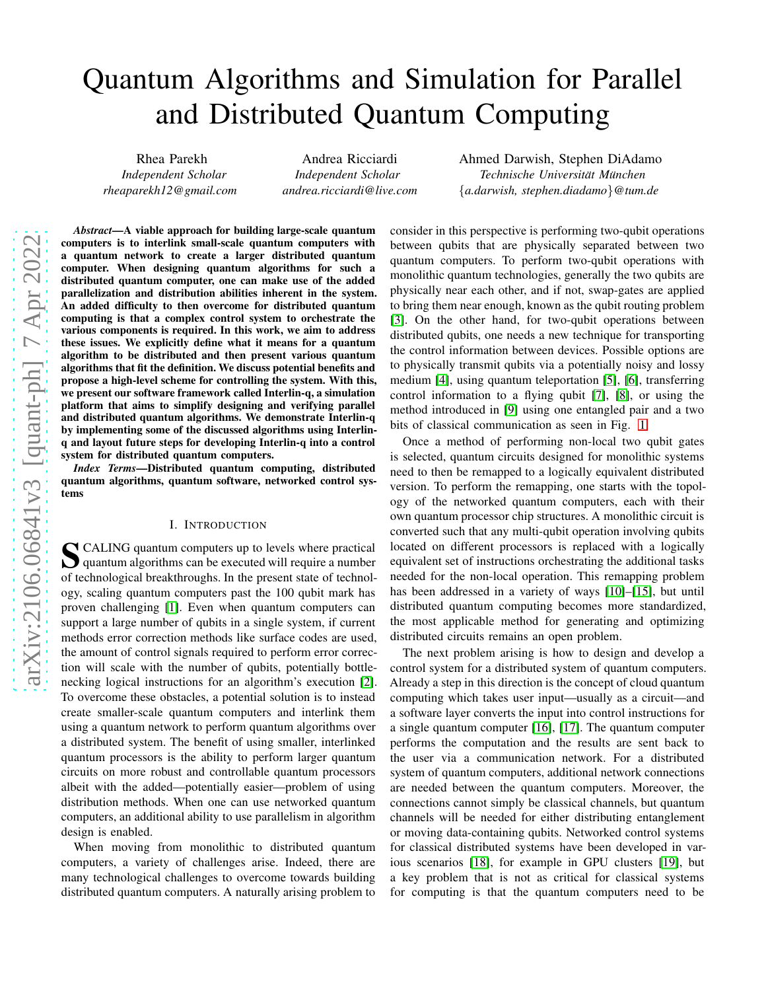# Quantum Algorithms and Simulation for Parallel and Distributed Quantum Computing

Rhea Parekh *Independent Scholar rheaparekh12@gmail.com*

Andrea Ricciardi *Independent Scholar andrea.ricciardi@live.com* Ahmed Darwish, Stephen DiAdamo  $Technische University$ {*a.darwish, stephen.diadamo*}*@tum.de*

*Abstract*—A viable approach for building large-scale quantum computers is to interlink small-scale quantum computers with a quantum network to create a larger distributed quantum computer. When designing quantum algorithms for such a distributed quantum computer, one can make use of the added parallelization and distribution abilities inherent in the system. An added difficulty to then overcome for distributed quantum computing is that a complex control system to orchestrate the various components is required. In this work, we aim to address these issues. We explicitly define what it means for a quantum algorithm to be distributed and then present various quantum algorithms that fit the definition. We discuss potential benefits and propose a high-level scheme for controlling the system. With this, we present our software framework called Interlin-q, a simulation platform that aims to simplify designing and verifying parallel and distributed quantum algorithms. We demonstrate Interlin-q by implementing some of the discussed algorithms using Interlinq and layout future steps for developing Interlin-q into a control system for distributed quantum computers.

*Index Terms*—Distributed quantum computing, distributed quantum algorithms, quantum software, networked control systems

#### I. INTRODUCTION

S CALING quantum computers up to levels where practical<br>quantum algorithms can be executed will require a number quantum algorithms can be executed will require a number of technological breakthroughs. In the present state of technology, scaling quantum computers past the 100 qubit mark has proven challenging [\[1\]](#page-9-0). Even when quantum computers can support a large number of qubits in a single system, if current methods error correction methods like surface codes are used, the amount of control signals required to perform error correction will scale with the number of qubits, potentially bottlenecking logical instructions for an algorithm's execution [\[2\]](#page-9-1). To overcome these obstacles, a potential solution is to instead create smaller-scale quantum computers and interlink them using a quantum network to perform quantum algorithms over a distributed system. The benefit of using smaller, interlinked quantum processors is the ability to perform larger quantum circuits on more robust and controllable quantum processors albeit with the added—potentially easier—problem of using distribution methods. When one can use networked quantum computers, an additional ability to use parallelism in algorithm design is enabled.

When moving from monolithic to distributed quantum computers, a variety of challenges arise. Indeed, there are many technological challenges to overcome towards building distributed quantum computers. A naturally arising problem to

consider in this perspective is performing two-qubit operations between qubits that are physically separated between two quantum computers. To perform two-qubit operations with monolithic quantum technologies, generally the two qubits are physically near each other, and if not, swap-gates are applied to bring them near enough, known as the qubit routing problem [\[3\]](#page-9-2). On the other hand, for two-qubit operations between distributed qubits, one needs a new technique for transporting the control information between devices. Possible options are to physically transmit qubits via a potentially noisy and lossy medium [\[4\]](#page-9-3), using quantum teleportation [\[5\]](#page-9-4), [\[6\]](#page-9-5), transferring control information to a flying qubit [\[7\]](#page-9-6), [\[8\]](#page-9-7), or using the method introduced in [\[9\]](#page-9-8) using one entangled pair and a two bits of classical communication as seen in Fig. [1.](#page-1-0)

Once a method of performing non-local two qubit gates is selected, quantum circuits designed for monolithic systems need to then be remapped to a logically equivalent distributed version. To perform the remapping, one starts with the topology of the networked quantum computers, each with their own quantum processor chip structures. A monolithic circuit is converted such that any multi-qubit operation involving qubits located on different processors is replaced with a logically equivalent set of instructions orchestrating the additional tasks needed for the non-local operation. This remapping problem has been addressed in a variety of ways [\[10\]](#page-9-9)–[\[15\]](#page-9-10), but until distributed quantum computing becomes more standardized, the most applicable method for generating and optimizing distributed circuits remains an open problem.

The next problem arising is how to design and develop a control system for a distributed system of quantum computers. Already a step in this direction is the concept of cloud quantum computing which takes user input—usually as a circuit—and a software layer converts the input into control instructions for a single quantum computer [\[16\]](#page-9-11), [\[17\]](#page-9-12). The quantum computer performs the computation and the results are sent back to the user via a communication network. For a distributed system of quantum computers, additional network connections are needed between the quantum computers. Moreover, the connections cannot simply be classical channels, but quantum channels will be needed for either distributing entanglement or moving data-containing qubits. Networked control systems for classical distributed systems have been developed in various scenarios [\[18\]](#page-9-13), for example in GPU clusters [\[19\]](#page-9-14), but a key problem that is not as critical for classical systems for computing is that the quantum computers need to be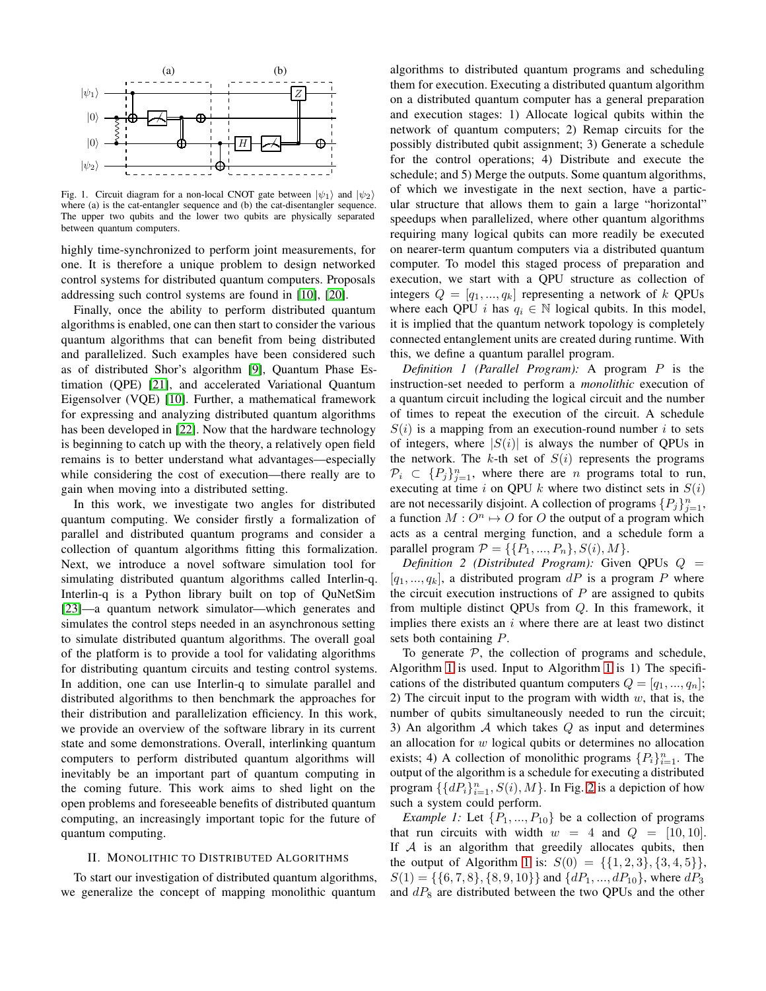

<span id="page-1-0"></span>Fig. 1. Circuit diagram for a non-local CNOT gate between  $|\psi_1\rangle$  and  $|\psi_2\rangle$ where (a) is the cat-entangler sequence and (b) the cat-disentangler sequence. The upper two qubits and the lower two qubits are physically separated between quantum computers.

highly time-synchronized to perform joint measurements, for one. It is therefore a unique problem to design networked control systems for distributed quantum computers. Proposals addressing such control systems are found in [\[10\]](#page-9-9), [\[20\]](#page-9-15).

Finally, once the ability to perform distributed quantum algorithms is enabled, one can then start to consider the various quantum algorithms that can benefit from being distributed and parallelized. Such examples have been considered such as of distributed Shor's algorithm [\[9\]](#page-9-8), Quantum Phase Estimation (QPE) [\[21\]](#page-9-16), and accelerated Variational Quantum Eigensolver (VQE) [\[10\]](#page-9-9). Further, a mathematical framework for expressing and analyzing distributed quantum algorithms has been developed in [\[22\]](#page-9-17). Now that the hardware technology is beginning to catch up with the theory, a relatively open field remains is to better understand what advantages—especially while considering the cost of execution—there really are to gain when moving into a distributed setting.

In this work, we investigate two angles for distributed quantum computing. We consider firstly a formalization of parallel and distributed quantum programs and consider a collection of quantum algorithms fitting this formalization. Next, we introduce a novel software simulation tool for simulating distributed quantum algorithms called Interlin-q. Interlin-q is a Python library built on top of QuNetSim [\[23\]](#page-10-0)—a quantum network simulator—which generates and simulates the control steps needed in an asynchronous setting to simulate distributed quantum algorithms. The overall goal of the platform is to provide a tool for validating algorithms for distributing quantum circuits and testing control systems. In addition, one can use Interlin-q to simulate parallel and distributed algorithms to then benchmark the approaches for their distribution and parallelization efficiency. In this work, we provide an overview of the software library in its current state and some demonstrations. Overall, interlinking quantum computers to perform distributed quantum algorithms will inevitably be an important part of quantum computing in the coming future. This work aims to shed light on the open problems and foreseeable benefits of distributed quantum computing, an increasingly important topic for the future of quantum computing.

#### II. MONOLITHIC TO DISTRIBUTED ALGORITHMS

To start our investigation of distributed quantum algorithms, we generalize the concept of mapping monolithic quantum

algorithms to distributed quantum programs and scheduling them for execution. Executing a distributed quantum algorithm on a distributed quantum computer has a general preparation and execution stages: 1) Allocate logical qubits within the network of quantum computers; 2) Remap circuits for the possibly distributed qubit assignment; 3) Generate a schedule for the control operations; 4) Distribute and execute the schedule; and 5) Merge the outputs. Some quantum algorithms, of which we investigate in the next section, have a particular structure that allows them to gain a large "horizontal" speedups when parallelized, where other quantum algorithms requiring many logical qubits can more readily be executed on nearer-term quantum computers via a distributed quantum computer. To model this staged process of preparation and execution, we start with a QPU structure as collection of integers  $Q = [q_1, ..., q_k]$  representing a network of k QPUs where each QPU *i* has  $q_i \in \mathbb{N}$  logical qubits. In this model, it is implied that the quantum network topology is completely connected entanglement units are created during runtime. With this, we define a quantum parallel program.

*Definition 1 (Parallel Program):* A program P is the instruction-set needed to perform a *monolithic* execution of a quantum circuit including the logical circuit and the number of times to repeat the execution of the circuit. A schedule  $S(i)$  is a mapping from an execution-round number i to sets of integers, where  $|S(i)|$  is always the number of QPUs in the network. The k-th set of  $S(i)$  represents the programs  $\mathcal{P}_i \subset \{P_j\}_{j=1}^n$ , where there are *n* programs total to run, executing at time i on QPU k where two distinct sets in  $S(i)$ are not necessarily disjoint. A collection of programs  $\{P_j\}_{j=1}^n$ , a function  $M: O^n \mapsto O$  for O the output of a program which acts as a central merging function, and a schedule form a parallel program  $P = \{\{P_1, ..., P_n\}, S(i), M\}.$ 

*Definition 2 (Distributed Program):* Given QPUs Q =  $[q_1, ..., q_k]$ , a distributed program dP is a program P where the circuit execution instructions of  $P$  are assigned to qubits from multiple distinct QPUs from Q. In this framework, it implies there exists an  $i$  where there are at least two distinct sets both containing P.

To generate  $P$ , the collection of programs and schedule, Algorithm [1](#page-2-0) is used. Input to Algorithm [1](#page-2-0) is 1) The specifications of the distributed quantum computers  $Q = [q_1, ..., q_n];$ 2) The circuit input to the program with width  $w$ , that is, the number of qubits simultaneously needed to run the circuit; 3) An algorithm  $A$  which takes  $Q$  as input and determines an allocation for  $w$  logical qubits or determines no allocation exists; 4) A collection of monolithic programs  $\{P_i\}_{i=1}^n$ . The output of the algorithm is a schedule for executing a distributed program  $\{\{dP_i\}_{i=1}^n$ ,  $S(i)$ ,  $M\}$ . In Fig. [2](#page-2-1) is a depiction of how such a system could perform.

*Example 1:* Let  $\{P_1, ..., P_{10}\}$  be a collection of programs that run circuits with width  $w = 4$  and  $Q = [10, 10]$ . If  $A$  is an algorithm that greedily allocates qubits, then the output of Algorithm [1](#page-2-0) is:  $S(0) = \{ \{1, 2, 3\}, \{3, 4, 5\} \},\$  $S(1) = \{\{6, 7, 8\}, \{8, 9, 10\}\}\$ and  $\{dP_1, ..., dP_{10}\}\$ , where  $dP_3$ and  $dP_8$  are distributed between the two QPUs and the other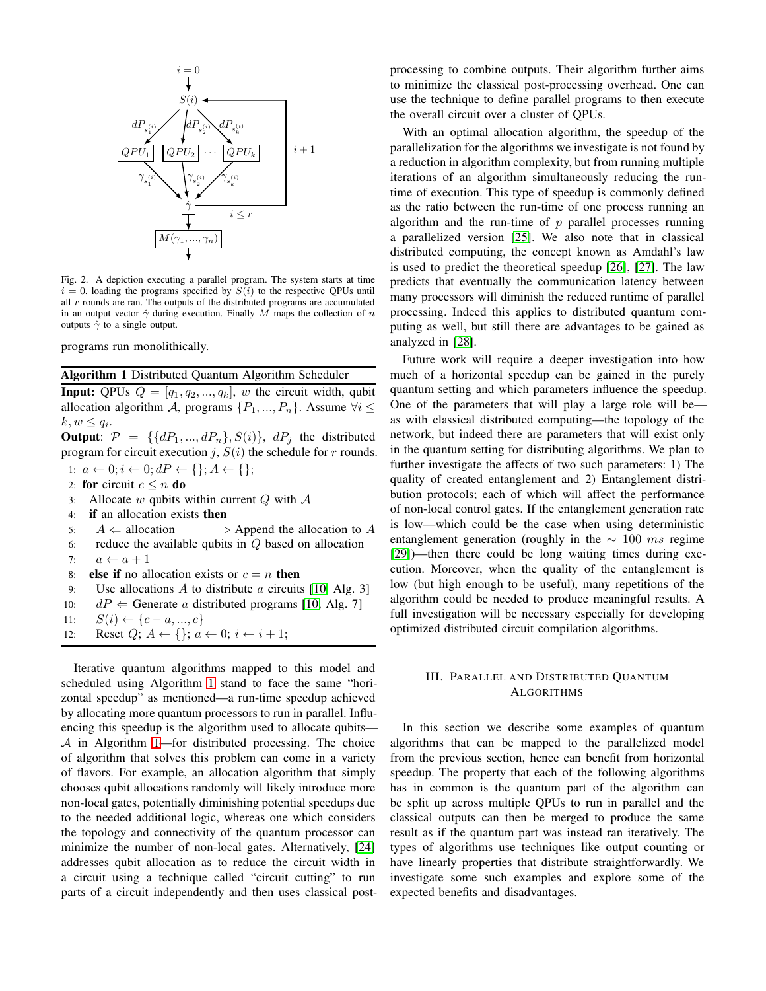

<span id="page-2-1"></span>Fig. 2. A depiction executing a parallel program. The system starts at time  $i = 0$ , loading the programs specified by  $S(i)$  to the respective QPUs until all  $r$  rounds are ran. The outputs of the distributed programs are accumulated in an output vector  $\hat{\gamma}$  during execution. Finally M maps the collection of n outputs  $\hat{\gamma}$  to a single output.

programs run monolithically.

Algorithm 1 Distributed Quantum Algorithm Scheduler

**Input:** QPUs  $Q = [q_1, q_2, ..., q_k]$ , w the circuit width, qubit allocation algorithm A, programs  $\{P_1, ..., P_n\}$ . Assume  $\forall i \leq$  $k, w \leq q_i.$ 

**Output:**  $\mathcal{P} = \{ \{dP_1, ..., dP_n\}, S(i) \}$ ,  $dP_j$  the distributed program for circuit execution j,  $S(i)$  the schedule for r rounds.

- 1:  $a \leftarrow 0; i \leftarrow 0; dP \leftarrow \{\}; A \leftarrow \{\};$
- 2: for circuit  $c \leq n$  do
- 3: Allocate w qubits within current  $Q$  with  $A$
- 4: if an allocation exists then
- 5:  $A \leftarrow$  allocation ⊳ Append the allocation to A
- 6: reduce the available qubits in  $Q$  based on allocation
- 7:  $a \leftarrow a + 1$
- 8: **else if** no allocation exists or  $c = n$  then
- 9: Use allocations A to distribute a circuits [\[10,](#page-9-9) Alg. 3]
- 10:  $dP \leftarrow$  Generate *a* distributed programs [\[10,](#page-9-9) Alg. 7]
- 11:  $S(i) \leftarrow \{c-a, ..., c\}$
- <span id="page-2-0"></span>12: Reset  $Q$ ;  $A \leftarrow \{\}$ ;  $a \leftarrow 0$ ;  $i \leftarrow i + 1$ ;

Iterative quantum algorithms mapped to this model and scheduled using Algorithm [1](#page-2-0) stand to face the same "horizontal speedup" as mentioned—a run-time speedup achieved by allocating more quantum processors to run in parallel. Influencing this speedup is the algorithm used to allocate qubits—  $A$  in Algorithm [1—](#page-2-0)for distributed processing. The choice of algorithm that solves this problem can come in a variety of flavors. For example, an allocation algorithm that simply chooses qubit allocations randomly will likely introduce more non-local gates, potentially diminishing potential speedups due to the needed additional logic, whereas one which considers the topology and connectivity of the quantum processor can minimize the number of non-local gates. Alternatively, [\[24\]](#page-10-1) addresses qubit allocation as to reduce the circuit width in a circuit using a technique called "circuit cutting" to run parts of a circuit independently and then uses classical postprocessing to combine outputs. Their algorithm further aims to minimize the classical post-processing overhead. One can use the technique to define parallel programs to then execute the overall circuit over a cluster of QPUs.

With an optimal allocation algorithm, the speedup of the parallelization for the algorithms we investigate is not found by a reduction in algorithm complexity, but from running multiple iterations of an algorithm simultaneously reducing the runtime of execution. This type of speedup is commonly defined as the ratio between the run-time of one process running an algorithm and the run-time of  $p$  parallel processes running a parallelized version [\[25\]](#page-10-2). We also note that in classical distributed computing, the concept known as Amdahl's law is used to predict the theoretical speedup [\[26\]](#page-10-3), [\[27\]](#page-10-4). The law predicts that eventually the communication latency between many processors will diminish the reduced runtime of parallel processing. Indeed this applies to distributed quantum computing as well, but still there are advantages to be gained as analyzed in [\[28\]](#page-10-5).

Future work will require a deeper investigation into how much of a horizontal speedup can be gained in the purely quantum setting and which parameters influence the speedup. One of the parameters that will play a large role will be as with classical distributed computing—the topology of the network, but indeed there are parameters that will exist only in the quantum setting for distributing algorithms. We plan to further investigate the affects of two such parameters: 1) The quality of created entanglement and 2) Entanglement distribution protocols; each of which will affect the performance of non-local control gates. If the entanglement generation rate is low—which could be the case when using deterministic entanglement generation (roughly in the  $\sim 100$  ms regime [\[29\]](#page-10-6))—then there could be long waiting times during execution. Moreover, when the quality of the entanglement is low (but high enough to be useful), many repetitions of the algorithm could be needed to produce meaningful results. A full investigation will be necessary especially for developing optimized distributed circuit compilation algorithms.

## <span id="page-2-2"></span>III. PARALLEL AND DISTRIBUTED QUANTUM **ALGORITHMS**

In this section we describe some examples of quantum algorithms that can be mapped to the parallelized model from the previous section, hence can benefit from horizontal speedup. The property that each of the following algorithms has in common is the quantum part of the algorithm can be split up across multiple QPUs to run in parallel and the classical outputs can then be merged to produce the same result as if the quantum part was instead ran iteratively. The types of algorithms use techniques like output counting or have linearly properties that distribute straightforwardly. We investigate some such examples and explore some of the expected benefits and disadvantages.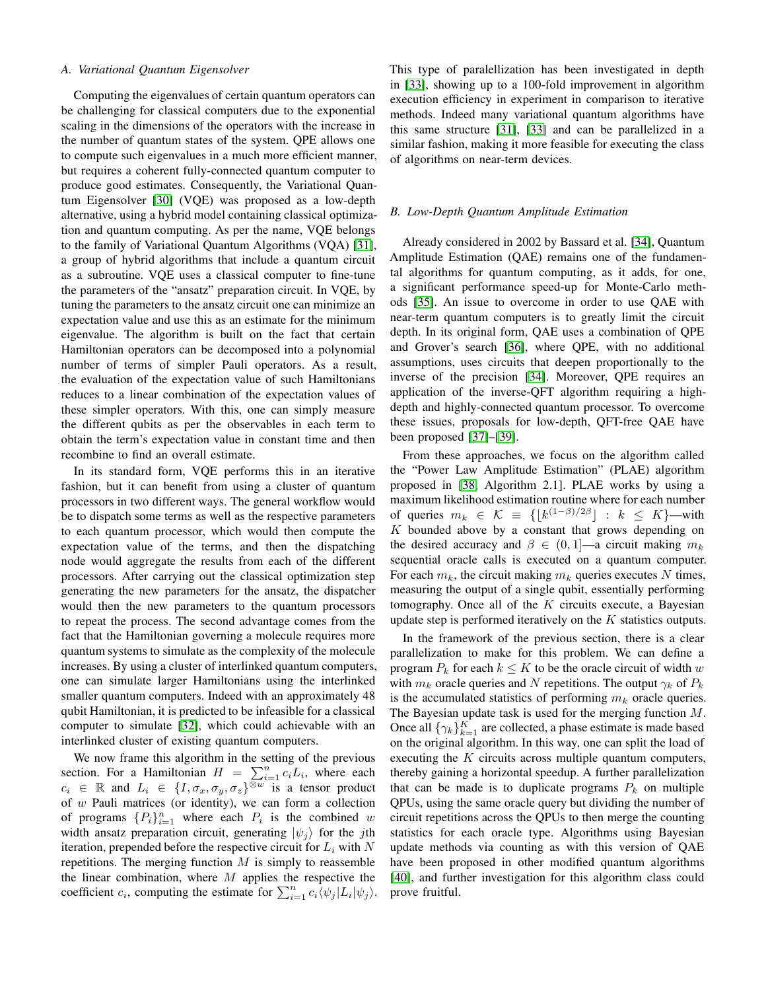#### *A. Variational Quantum Eigensolver*

Computing the eigenvalues of certain quantum operators can be challenging for classical computers due to the exponential scaling in the dimensions of the operators with the increase in the number of quantum states of the system. QPE allows one to compute such eigenvalues in a much more efficient manner, but requires a coherent fully-connected quantum computer to produce good estimates. Consequently, the Variational Quantum Eigensolver [\[30\]](#page-10-7) (VQE) was proposed as a low-depth alternative, using a hybrid model containing classical optimization and quantum computing. As per the name, VQE belongs to the family of Variational Quantum Algorithms (VQA) [\[31\]](#page-10-8), a group of hybrid algorithms that include a quantum circuit as a subroutine. VQE uses a classical computer to fine-tune the parameters of the "ansatz" preparation circuit. In VQE, by tuning the parameters to the ansatz circuit one can minimize an expectation value and use this as an estimate for the minimum eigenvalue. The algorithm is built on the fact that certain Hamiltonian operators can be decomposed into a polynomial number of terms of simpler Pauli operators. As a result, the evaluation of the expectation value of such Hamiltonians reduces to a linear combination of the expectation values of these simpler operators. With this, one can simply measure the different qubits as per the observables in each term to obtain the term's expectation value in constant time and then recombine to find an overall estimate.

In its standard form, VQE performs this in an iterative fashion, but it can benefit from using a cluster of quantum processors in two different ways. The general workflow would be to dispatch some terms as well as the respective parameters to each quantum processor, which would then compute the expectation value of the terms, and then the dispatching node would aggregate the results from each of the different processors. After carrying out the classical optimization step generating the new parameters for the ansatz, the dispatcher would then the new parameters to the quantum processors to repeat the process. The second advantage comes from the fact that the Hamiltonian governing a molecule requires more quantum systems to simulate as the complexity of the molecule increases. By using a cluster of interlinked quantum computers, one can simulate larger Hamiltonians using the interlinked smaller quantum computers. Indeed with an approximately 48 qubit Hamiltonian, it is predicted to be infeasible for a classical computer to simulate [\[32\]](#page-10-9), which could achievable with an interlinked cluster of existing quantum computers.

We now frame this algorithm in the setting of the previous section. For a Hamiltonian  $H = \sum_{i=1}^{n} c_i L_i$ , where each  $c_i \in \mathbb{R}$  and  $L_i \in \{I, \sigma_x, \sigma_y, \sigma_z\}^{\overline{\otimes w}}$  is a tensor product of  $w$  Pauli matrices (or identity), we can form a collection of programs  $\{P_i\}_{i=1}^n$  where each  $P_i$  is the combined w width ansatz preparation circuit, generating  $|\psi_i\rangle$  for the jth iteration, prepended before the respective circuit for  $L_i$  with N repetitions. The merging function  $M$  is simply to reassemble the linear combination, where  $M$  applies the respective the coefficient  $c_i$ , computing the estimate for  $\sum_{i=1}^n c_i \overline{\langle \psi_j | L_i | \psi_j \rangle}$ . This type of paralellization has been investigated in depth in [\[33\]](#page-10-10), showing up to a 100-fold improvement in algorithm execution efficiency in experiment in comparison to iterative methods. Indeed many variational quantum algorithms have this same structure [\[31\]](#page-10-8), [\[33\]](#page-10-10) and can be parallelized in a similar fashion, making it more feasible for executing the class of algorithms on near-term devices.

## *B. Low-Depth Quantum Amplitude Estimation*

Already considered in 2002 by Bassard et al. [\[34\]](#page-10-11), Quantum Amplitude Estimation (QAE) remains one of the fundamental algorithms for quantum computing, as it adds, for one, a significant performance speed-up for Monte-Carlo methods [\[35\]](#page-10-12). An issue to overcome in order to use QAE with near-term quantum computers is to greatly limit the circuit depth. In its original form, QAE uses a combination of QPE and Grover's search [\[36\]](#page-10-13), where QPE, with no additional assumptions, uses circuits that deepen proportionally to the inverse of the precision [\[34\]](#page-10-11). Moreover, QPE requires an application of the inverse-QFT algorithm requiring a highdepth and highly-connected quantum processor. To overcome these issues, proposals for low-depth, QFT-free QAE have been proposed [\[37\]](#page-10-14)–[\[39\]](#page-10-15).

From these approaches, we focus on the algorithm called the "Power Law Amplitude Estimation" (PLAE) algorithm proposed in [\[38,](#page-10-16) Algorithm 2.1]. PLAE works by using a maximum likelihood estimation routine where for each number of queries  $m_k \in \mathcal{K} \equiv \{ \lfloor k^{(1-\beta)/2\beta} \rfloor : k \leq K \}$ —with  $K$  bounded above by a constant that grows depending on the desired accuracy and  $\beta \in (0, 1]$ —a circuit making  $m_k$ sequential oracle calls is executed on a quantum computer. For each  $m_k$ , the circuit making  $m_k$  queries executes N times, measuring the output of a single qubit, essentially performing tomography. Once all of the  $K$  circuits execute, a Bayesian update step is performed iteratively on the  $K$  statistics outputs.

In the framework of the previous section, there is a clear parallelization to make for this problem. We can define a program  $P_k$  for each  $k \leq K$  to be the oracle circuit of width w with  $m_k$  oracle queries and N repetitions. The output  $\gamma_k$  of  $P_k$ is the accumulated statistics of performing  $m_k$  oracle queries. The Bayesian update task is used for the merging function M. Once all  $\{\gamma_k\}_{k=1}^K$  are collected, a phase estimate is made based on the original algorithm. In this way, one can split the load of executing the  $K$  circuits across multiple quantum computers, thereby gaining a horizontal speedup. A further parallelization that can be made is to duplicate programs  $P_k$  on multiple QPUs, using the same oracle query but dividing the number of circuit repetitions across the QPUs to then merge the counting statistics for each oracle type. Algorithms using Bayesian update methods via counting as with this version of QAE have been proposed in other modified quantum algorithms [\[40\]](#page-10-17), and further investigation for this algorithm class could prove fruitful.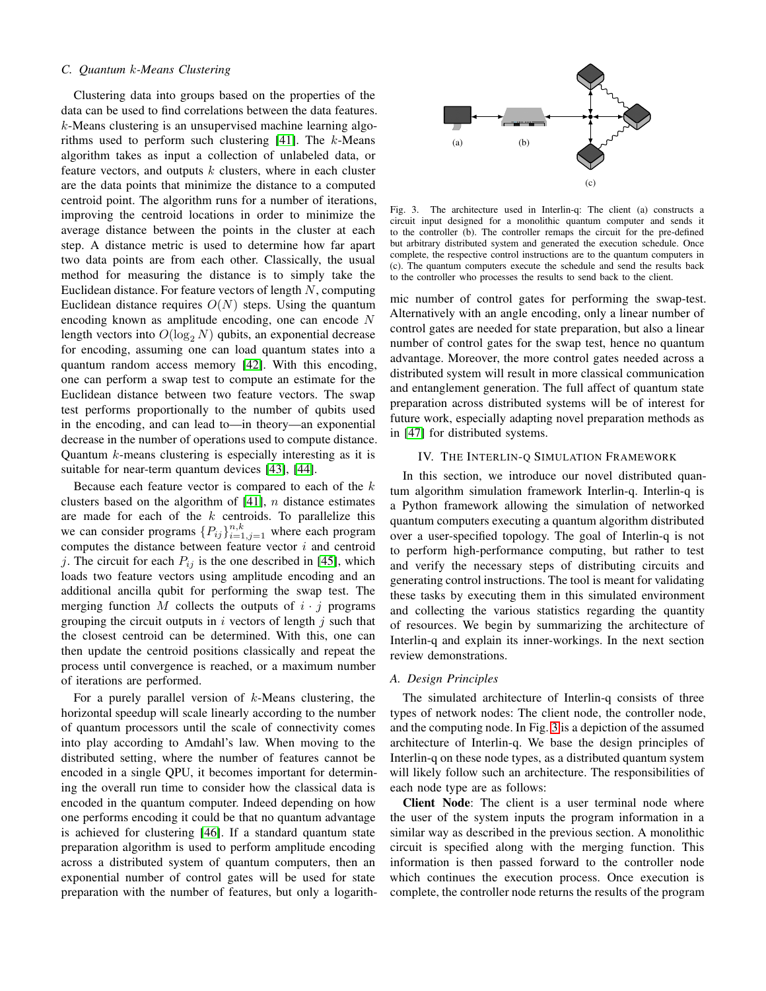#### *C. Quantum* k*-Means Clustering*

Clustering data into groups based on the properties of the data can be used to find correlations between the data features. k-Means clustering is an unsupervised machine learning algorithms used to perform such clustering  $[41]$ . The k-Means algorithm takes as input a collection of unlabeled data, or feature vectors, and outputs  $k$  clusters, where in each cluster are the data points that minimize the distance to a computed centroid point. The algorithm runs for a number of iterations, improving the centroid locations in order to minimize the average distance between the points in the cluster at each step. A distance metric is used to determine how far apart two data points are from each other. Classically, the usual method for measuring the distance is to simply take the Euclidean distance. For feature vectors of length  $N$ , computing Euclidean distance requires  $O(N)$  steps. Using the quantum encoding known as amplitude encoding, one can encode N length vectors into  $O(\log_2 N)$  qubits, an exponential decrease for encoding, assuming one can load quantum states into a quantum random access memory [\[42\]](#page-10-19). With this encoding, one can perform a swap test to compute an estimate for the Euclidean distance between two feature vectors. The swap test performs proportionally to the number of qubits used in the encoding, and can lead to—in theory—an exponential decrease in the number of operations used to compute distance. Quantum  $k$ -means clustering is especially interesting as it is suitable for near-term quantum devices [\[43\]](#page-10-20), [\[44\]](#page-10-21).

Because each feature vector is compared to each of the  $k$ clusters based on the algorithm of  $[41]$ , n distance estimates are made for each of the  $k$  centroids. To parallelize this we can consider programs  $\{P_{ij}\}_{i=1,j=1}^{n,k}$  where each program computes the distance between feature vector  $i$  and centroid j. The circuit for each  $P_{ij}$  is the one described in [\[45\]](#page-10-22), which loads two feature vectors using amplitude encoding and an additional ancilla qubit for performing the swap test. The merging function M collects the outputs of  $i \cdot j$  programs grouping the circuit outputs in i vectors of length  $j$  such that the closest centroid can be determined. With this, one can then update the centroid positions classically and repeat the process until convergence is reached, or a maximum number of iterations are performed.

For a purely parallel version of  $k$ -Means clustering, the horizontal speedup will scale linearly according to the number of quantum processors until the scale of connectivity comes into play according to Amdahl's law. When moving to the distributed setting, where the number of features cannot be encoded in a single QPU, it becomes important for determining the overall run time to consider how the classical data is encoded in the quantum computer. Indeed depending on how one performs encoding it could be that no quantum advantage is achieved for clustering [\[46\]](#page-10-23). If a standard quantum state preparation algorithm is used to perform amplitude encoding across a distributed system of quantum computers, then an exponential number of control gates will be used for state preparation with the number of features, but only a logarith-



<span id="page-4-0"></span>Fig. 3. The architecture used in Interlin-q: The client (a) constructs a circuit input designed for a monolithic quantum computer and sends it to the controller (b). The controller remaps the circuit for the pre-defined but arbitrary distributed system and generated the execution schedule. Once complete, the respective control instructions are to the quantum computers in (c). The quantum computers execute the schedule and send the results back to the controller who processes the results to send back to the client.

mic number of control gates for performing the swap-test. Alternatively with an angle encoding, only a linear number of control gates are needed for state preparation, but also a linear number of control gates for the swap test, hence no quantum advantage. Moreover, the more control gates needed across a distributed system will result in more classical communication and entanglement generation. The full affect of quantum state preparation across distributed systems will be of interest for future work, especially adapting novel preparation methods as in [\[47\]](#page-10-24) for distributed systems.

### IV. THE INTERLIN-Q SIMULATION FRAMEWORK

In this section, we introduce our novel distributed quantum algorithm simulation framework Interlin-q. Interlin-q is a Python framework allowing the simulation of networked quantum computers executing a quantum algorithm distributed over a user-specified topology. The goal of Interlin-q is not to perform high-performance computing, but rather to test and verify the necessary steps of distributing circuits and generating control instructions. The tool is meant for validating these tasks by executing them in this simulated environment and collecting the various statistics regarding the quantity of resources. We begin by summarizing the architecture of Interlin-q and explain its inner-workings. In the next section review demonstrations.

#### *A. Design Principles*

The simulated architecture of Interlin-q consists of three types of network nodes: The client node, the controller node, and the computing node. In Fig. [3](#page-4-0) is a depiction of the assumed architecture of Interlin-q. We base the design principles of Interlin-q on these node types, as a distributed quantum system will likely follow such an architecture. The responsibilities of each node type are as follows:

Client Node: The client is a user terminal node where the user of the system inputs the program information in a similar way as described in the previous section. A monolithic circuit is specified along with the merging function. This information is then passed forward to the controller node which continues the execution process. Once execution is complete, the controller node returns the results of the program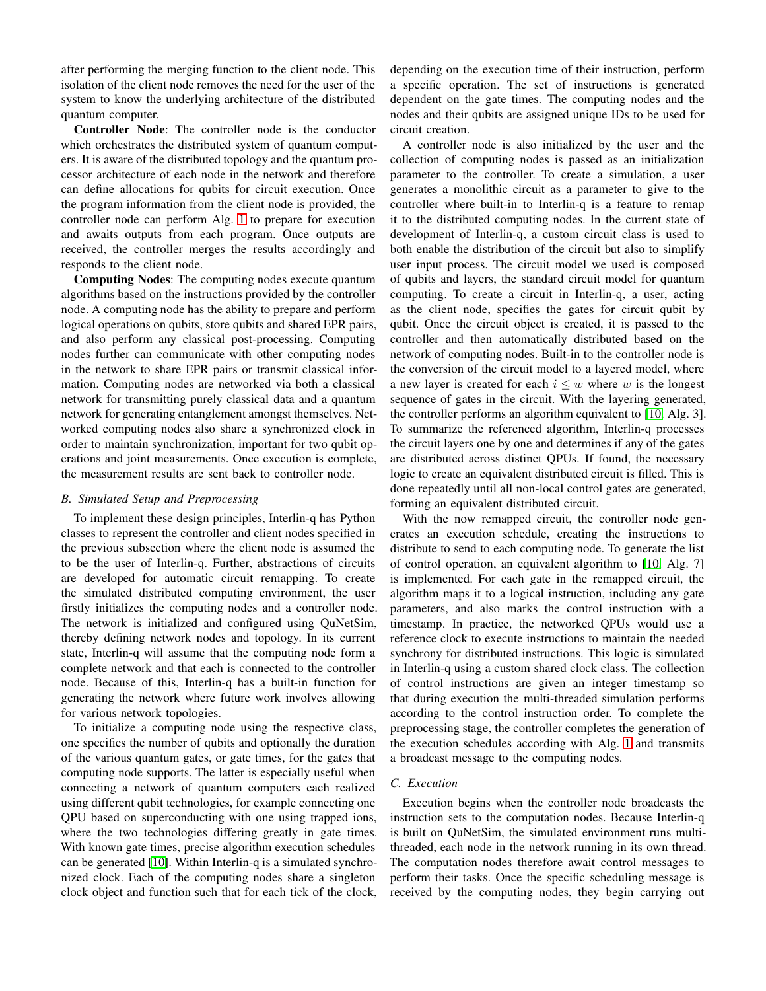after performing the merging function to the client node. This isolation of the client node removes the need for the user of the system to know the underlying architecture of the distributed quantum computer.

Controller Node: The controller node is the conductor which orchestrates the distributed system of quantum computers. It is aware of the distributed topology and the quantum processor architecture of each node in the network and therefore can define allocations for qubits for circuit execution. Once the program information from the client node is provided, the controller node can perform Alg. [1](#page-2-0) to prepare for execution and awaits outputs from each program. Once outputs are received, the controller merges the results accordingly and responds to the client node.

Computing Nodes: The computing nodes execute quantum algorithms based on the instructions provided by the controller node. A computing node has the ability to prepare and perform logical operations on qubits, store qubits and shared EPR pairs, and also perform any classical post-processing. Computing nodes further can communicate with other computing nodes in the network to share EPR pairs or transmit classical information. Computing nodes are networked via both a classical network for transmitting purely classical data and a quantum network for generating entanglement amongst themselves. Networked computing nodes also share a synchronized clock in order to maintain synchronization, important for two qubit operations and joint measurements. Once execution is complete, the measurement results are sent back to controller node.

#### *B. Simulated Setup and Preprocessing*

To implement these design principles, Interlin-q has Python classes to represent the controller and client nodes specified in the previous subsection where the client node is assumed the to be the user of Interlin-q. Further, abstractions of circuits are developed for automatic circuit remapping. To create the simulated distributed computing environment, the user firstly initializes the computing nodes and a controller node. The network is initialized and configured using QuNetSim, thereby defining network nodes and topology. In its current state, Interlin-q will assume that the computing node form a complete network and that each is connected to the controller node. Because of this, Interlin-q has a built-in function for generating the network where future work involves allowing for various network topologies.

To initialize a computing node using the respective class, one specifies the number of qubits and optionally the duration of the various quantum gates, or gate times, for the gates that computing node supports. The latter is especially useful when connecting a network of quantum computers each realized using different qubit technologies, for example connecting one QPU based on superconducting with one using trapped ions, where the two technologies differing greatly in gate times. With known gate times, precise algorithm execution schedules can be generated [\[10\]](#page-9-9). Within Interlin-q is a simulated synchronized clock. Each of the computing nodes share a singleton clock object and function such that for each tick of the clock, depending on the execution time of their instruction, perform a specific operation. The set of instructions is generated dependent on the gate times. The computing nodes and the nodes and their qubits are assigned unique IDs to be used for circuit creation.

A controller node is also initialized by the user and the collection of computing nodes is passed as an initialization parameter to the controller. To create a simulation, a user generates a monolithic circuit as a parameter to give to the controller where built-in to Interlin-q is a feature to remap it to the distributed computing nodes. In the current state of development of Interlin-q, a custom circuit class is used to both enable the distribution of the circuit but also to simplify user input process. The circuit model we used is composed of qubits and layers, the standard circuit model for quantum computing. To create a circuit in Interlin-q, a user, acting as the client node, specifies the gates for circuit qubit by qubit. Once the circuit object is created, it is passed to the controller and then automatically distributed based on the network of computing nodes. Built-in to the controller node is the conversion of the circuit model to a layered model, where a new layer is created for each  $i \leq w$  where w is the longest sequence of gates in the circuit. With the layering generated, the controller performs an algorithm equivalent to [\[10,](#page-9-9) Alg. 3]. To summarize the referenced algorithm, Interlin-q processes the circuit layers one by one and determines if any of the gates are distributed across distinct QPUs. If found, the necessary logic to create an equivalent distributed circuit is filled. This is done repeatedly until all non-local control gates are generated, forming an equivalent distributed circuit.

With the now remapped circuit, the controller node generates an execution schedule, creating the instructions to distribute to send to each computing node. To generate the list of control operation, an equivalent algorithm to [\[10,](#page-9-9) Alg. 7] is implemented. For each gate in the remapped circuit, the algorithm maps it to a logical instruction, including any gate parameters, and also marks the control instruction with a timestamp. In practice, the networked QPUs would use a reference clock to execute instructions to maintain the needed synchrony for distributed instructions. This logic is simulated in Interlin-q using a custom shared clock class. The collection of control instructions are given an integer timestamp so that during execution the multi-threaded simulation performs according to the control instruction order. To complete the preprocessing stage, the controller completes the generation of the execution schedules according with Alg. [1](#page-2-0) and transmits a broadcast message to the computing nodes.

#### *C. Execution*

Execution begins when the controller node broadcasts the instruction sets to the computation nodes. Because Interlin-q is built on QuNetSim, the simulated environment runs multithreaded, each node in the network running in its own thread. The computation nodes therefore await control messages to perform their tasks. Once the specific scheduling message is received by the computing nodes, they begin carrying out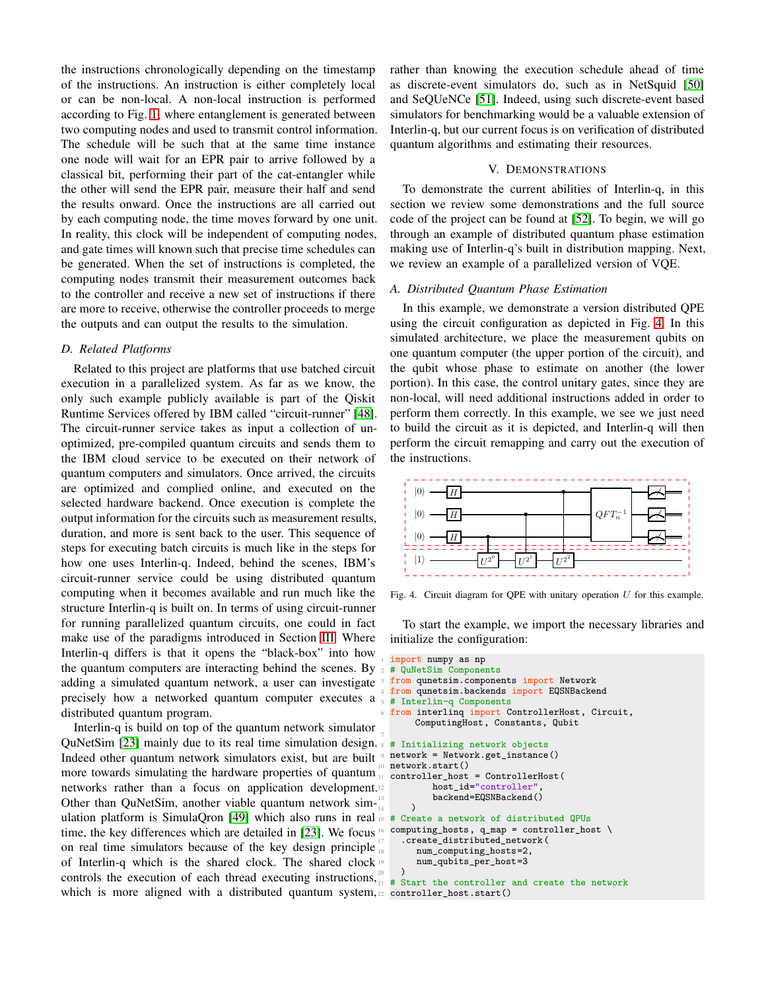the instructions chronologically depending on the timestamp of the instructions. An instruction is either completely local or can be non-local. A non-local instruction is performed according to Fig. [1,](#page-1-0) where entanglement is generated between two computing nodes and used to transmit control information. The schedule will be such that at the same time instance one node will wait for an EPR pair to arrive followed by a classical bit, performing their part of the cat-entangler while the other will send the EPR pair, measure their half and send the results onward. Once the instructions are all carried out by each computing node, the time moves forward by one unit. In reality, this clock will be independent of computing nodes, and gate times will known such that precise time schedules can be generated. When the set of instructions is completed, the computing nodes transmit their measurement outcomes back to the controller and receive a new set of instructions if there are more to receive, otherwise the controller proceeds to merge the outputs and can output the results to the simulation.

#### *D. Related Platforms*

Related to this project are platforms that use batched circuit execution in a parallelized system. As far as we know, the only such example publicly available is part of the Qiskit Runtime Services offered by IBM called "circuit-runner" [\[48\]](#page-10-25). The circuit-runner service takes as input a collection of unoptimized, pre-compiled quantum circuits and sends them to the IBM cloud service to be executed on their network of quantum computers and simulators. Once arrived, the circuits are optimized and complied online, and executed on the selected hardware backend. Once execution is complete the output information for the circuits such as measurement results, duration, and more is sent back to the user. This sequence of steps for executing batch circuits is much like in the steps for how one uses Interlin-q. Indeed, behind the scenes, IBM's circuit-runner service could be using distributed quantum computing when it becomes available and run much like the structure Interlin-q is built on. In terms of using circuit-runner for running parallelized quantum circuits, one could in fact make use of the paradigms introduced in Section [III.](#page-2-2) Where Interlin-q differs is that it opens the "black-box" into how the quantum computers are interacting behind the scenes. By  $_2 \# \overline{QuNetsim}$  Components adding a simulated quantum network, a user can investigate precisely how a networked quantum computer executes a distributed quantum program.

Interlin-q is build on top of the quantum network simulator QuNetSim [\[23\]](#page-10-0) mainly due to its real time simulation design. <br>  $\frac{1}{8}$  # Initializing network objects Indeed other quantum network simulators exist, but are built  $\frac{1}{2}$  network = Network.get\_instance() more towards simulating the hardware properties of quantum  $\frac{1}{11}$  controller\_host = ControllerHost( networks rather than a focus on application development. Other than QuNetSim, another viable quantum network sim-United than Quiversinity, another viable quantum increasing  $\frac{14}{4}$  ( $\frac{14}{4}$  Cre time, the key differences which are detailed in [\[23\]](#page-10-0). We focus <sup>16</sup> on real time simulators because of the key design principle of Interlin-q which is the shared clock. The shared clock controls the execution of each thread executing instructions,  $\frac{20}{1}$   $\frac{1}{4}$  s which is more aligned with a distributed quantum system,<sup>22</sup> controller\_host.start()

rather than knowing the execution schedule ahead of time as discrete-event simulators do, such as in NetSquid [\[50\]](#page-10-27) and SeQUeNCe [\[51\]](#page-10-28). Indeed, using such discrete-event based simulators for benchmarking would be a valuable extension of Interlin-q, but our current focus is on verification of distributed quantum algorithms and estimating their resources.

## V. DEMONSTRATIONS

To demonstrate the current abilities of Interlin-q, in this section we review some demonstrations and the full source code of the project can be found at [\[52\]](#page-10-29). To begin, we will go through an example of distributed quantum phase estimation making use of Interlin-q's built in distribution mapping. Next, we review an example of a parallelized version of VQE.

#### *A. Distributed Quantum Phase Estimation*

In this example, we demonstrate a version distributed QPE using the circuit configuration as depicted in Fig. [4.](#page-6-0) In this simulated architecture, we place the measurement qubits on one quantum computer (the upper portion of the circuit), and the qubit whose phase to estimate on another (the lower portion). In this case, the control unitary gates, since they are non-local, will need additional instructions added in order to perform them correctly. In this example, we see we just need to build the circuit as it is depicted, and Interlin-q will then perform the circuit remapping and carry out the execution of the instructions.



<span id="page-6-0"></span>Fig. 4. Circuit diagram for QPE with unitary operation  $U$  for this example.

To start the example, we import the necessary libraries and initialize the configuration:

```
import numpy as np
 from qunetsim.components import Network
 from qunetsim.backends import EQSNBackend
  5 # Interlin−q Components
  from interlinq import ControllerHost, Circuit,
       ComputingHost, Constants, Qubit
0 network.start()
          host_id="controller"
      backend=EQSNBackend()
15 # Create a network of distributed QPUs
 computing\_hosts, q\_map = controller\_host \setminus.create distributed network(
       num_computing_hosts=2,
    num_qubits_per_host=3
21 # Start the controller and create the network
```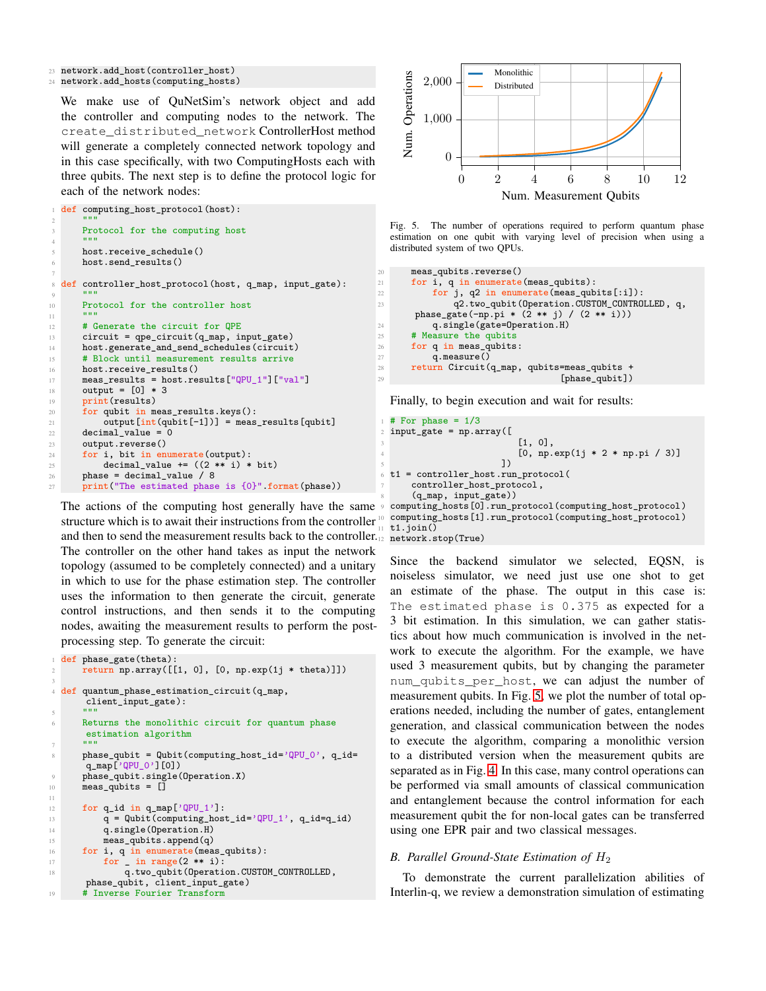<sup>23</sup> network.add\_host(controller\_host)

<sup>24</sup> network.add\_hosts(computing\_hosts)

We make use of QuNetSim's network object and add the controller and computing nodes to the network. The create\_distributed\_network ControllerHost method will generate a completely connected network topology and in this case specifically, with two ComputingHosts each with three qubits. The next step is to define the protocol logic for each of the network nodes:

def computing\_host\_protocol(host):

```
2 \cdots \cdots \cdotsProtocol for the computing host
4 """"
      host.receive schedule()
      6 host.send_results()
7
8 def controller_host_protocol(host, q_map, input_gate):
9 "" ""
10 Protocol for the controller host
1112 # Generate the circuit for QPE
13 circuit = qpe_circuit(q_map, input_gate)
14 host.generate_and_send_schedules(circuit)
15 # Block until measurement results arrive
16 host.receive_results()
17 meas_results = host.results["QPU_1"]["val"]
18 output = [0] * 319 print(results)
20 for qubit in meas_results.keys():
21 output[int(qubit[−1])] = meas_results[qubit]
22 decimal_value = 023 output.reverse()
24 for i, bit in enumerate(output):
25 decimal_value += ((2 ∗∗ i) ∗ bit)
26 phase = decimal_value / 8<br>
27 print("The estimated phase
      print("The estimated phase is <math>{0}".format(phase))
```
The actions of the computing host generally have the same structure which is to await their instructions from the controller and then to send the measurement results back to the controller. The controller on the other hand takes as input the network topology (assumed to be completely connected) and a unitary in which to use for the phase estimation step. The controller uses the information to then generate the circuit, generate control instructions, and then sends it to the computing nodes, awaiting the measurement results to perform the postprocessing step. To generate the circuit:

```
def phase_gate(theta):
      return np.array([[1, 0], [0, np.exp(1j * theta)]])
3
4 def quantum_phase_estimation_circuit(q_map,
       client_input_gate):
5 """"
      Returns the monolithic circuit for quantum phase
       estimation algorithm
7 """"
      phase_qubit = Qubit(computing_host_id='QPU_0', q_id=q_map['QPU_0'][0])
      phase_qubit.single(Operation.X)
10 meas_qubits = \overline{1}11
12 for q_id in q_map['QPU_1']:<br>
q = Qubit(computing hos
          q =Qubit(computing_host_id='QPU_1', q_id=q_id)
14 q.single(Operation.H)
15 meas_qubits.append(q)
16 for i, q in enumerate (meas_qubits):
17 for _in range(2 ** i):<br>\frac{1}{18} a.two qubit(0 perati
               q.two_qubit(Operation.CUSTOM_CONTROLLED,
       phase_qubit, client_input_gate)
19 # Inverse Fourier Transform
```


<span id="page-7-0"></span>Fig. 5. The number of operations required to perform quantum phase estimation on one qubit with varying level of precision when using a distributed system of two QPUs.

```
20 meas_qubits.reverse()
21 for i, q in enumerate(meas_qubits):
22 for j, q2 in enumerate (meas_qubits[:i]):
23 q2.two_qubit(Operation.CUSTOM_CONTROLLED, q,
      phase_gate(−np.pi ∗ (2 ∗∗ j) / (2 ∗∗ i)))
24 q.single(gate=Operation.H)<br>
25 # Measure the qubits
     # Measure the qubits
26 for q in meas_qubits:
27 q.measure()
28 return Circuit(q_map, qubits=meas_qubits +
29 [phase_qubit])
```
Finally, to begin execution and wait for results:

```
# For phase = 1/3input_gate = np.array([1, 0],[0, np.exp(1j * 2 * np.pi / 3)]\sim 5 \sim 1)
 6 t1 = controller_host.run_protocol(
     controller_host_protocol,
     8 (q_map, input_gate))
9 computing_hosts[0].run_protocol(computing_host_protocol)
 10 computing_hosts[1].run_protocol(computing_host_protocol)
 t1.join()network.stop(True)
```
Since the backend simulator we selected, EQSN, is noiseless simulator, we need just use one shot to get an estimate of the phase. The output in this case is: The estimated phase is 0.375 as expected for a 3 bit estimation. In this simulation, we can gather statistics about how much communication is involved in the network to execute the algorithm. For the example, we have used 3 measurement qubits, but by changing the parameter num\_qubits\_per\_host, we can adjust the number of measurement qubits. In Fig. [5,](#page-7-0) we plot the number of total operations needed, including the number of gates, entanglement generation, and classical communication between the nodes to execute the algorithm, comparing a monolithic version to a distributed version when the measurement qubits are separated as in Fig. [4.](#page-6-0) In this case, many control operations can be performed via small amounts of classical communication and entanglement because the control information for each measurement qubit the for non-local gates can be transferred using one EPR pair and two classical messages.

#### *B. Parallel Ground-State Estimation of* H<sup>2</sup>

To demonstrate the current parallelization abilities of Interlin-q, we review a demonstration simulation of estimating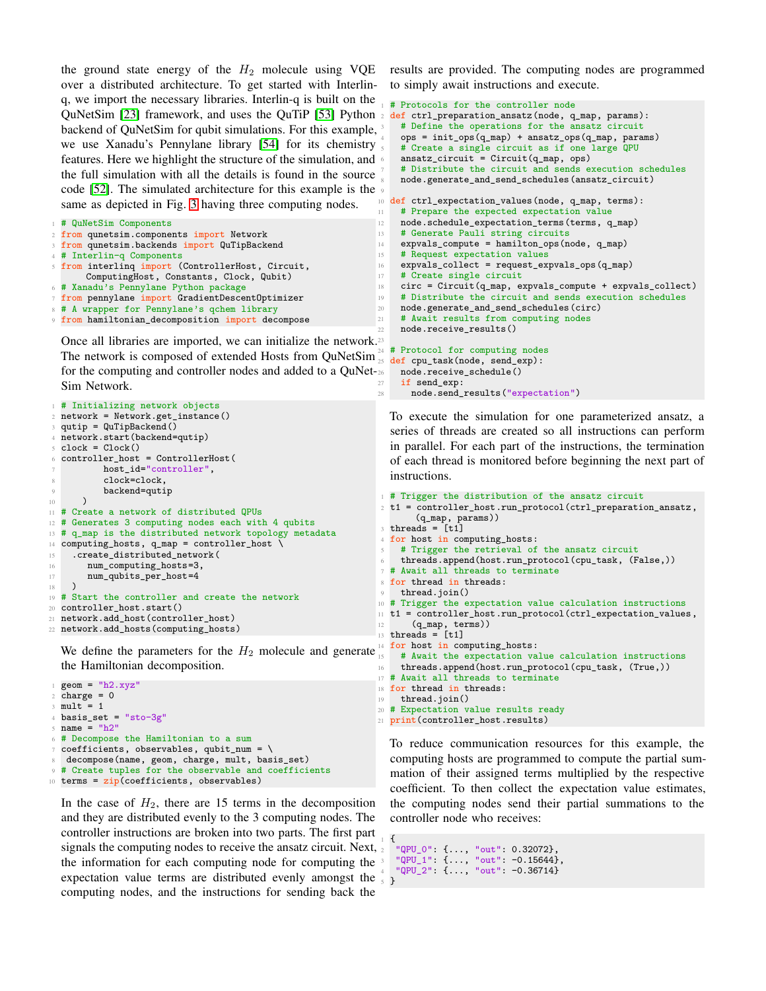the ground state energy of the  $H_2$  molecule using VQE over a distributed architecture. To get started with Interlinq, we import the necessary libraries. Interlin-q is built on the QuNetSim [\[23\]](#page-10-0) framework, and uses the QuTiP [\[53\]](#page-10-30) Python 2 def ctrl\_preparation\_ansatz(node, q\_map, params): backend of QuNetSim for qubit simulations. For this example, we use Xanadu's Pennylane library [\[54\]](#page-10-31) for its chemistry features. Here we highlight the structure of the simulation, and the full simulation with all the details is found in the source code [\[52\]](#page-10-29). The simulated architecture for this example is the same as depicted in Fig. [3](#page-4-0) having three computing nodes.

```
1 # QuNetSim Components
2 from qunetsim.components import Network
3 from qunetsim.backends import QuTipBackend
4 # Interlin−q Components
5 from interlinq import (ControllerHost, Circuit,
      ComputingHost, Constants, Clock, Qubit)
6 # Xanadu's Pennylane Python package
7 from pennylane import GradientDescentOptimizer
8 # A wrapper for Pennylane's qchem library
9 from hamiltonian_decomposition import decompose
```
Once all libraries are imported, we can initialize the network. 23 The network is composed of extended Hosts from QuNetSim $\frac{2}{25}$ for the computing and controller nodes and added to a QuNet-Sim Network.

```
# Initializing network objects
  network = Network.get_instance()
  qutip = QuTipBackend()4 network.start(backend=qutip)
  clock = clock()6 controller_host = ControllerHost(
          host_id="controller",
          clock=clock.
          backend=qutip
10 )
11 # Create a network of distributed QPUs
12 # Generates 3 computing nodes each with 4 qubits
13 # q_map is the distributed network topology metadata
14 computing_hosts, q_map = controller_host \<br>15 .create distributed network (
    .create_distributed_network(
16 num_computing_hosts=3,
17 num_qubits_per_host=4
18 )
19 # Start the controller and create the network
20 controller_host.start()
21 network.add host(controller host)
22 network.add_hosts(computing_hosts)
```
We define the parameters for the  $H_2$  molecule and generate the Hamiltonian decomposition.

```
geom = "h2.xyz"charge = 0mult = 1basis_set = "sto-3g"
5 name = "h2"# Decompose the Hamiltonian to a sum
  coefficients, observables, qubit_number \decompose(name, geom, charge, mult, basis_set)
9 # Create tuples for the observable and coefficients
10 terms = zip(coefficients, observables)
```
In the case of  $H_2$ , there are 15 terms in the decomposition and they are distributed evenly to the 3 computing nodes. The controller instructions are broken into two parts. The first part signals the computing nodes to receive the ansatz circuit. Next,  $_2$ the information for each computing node for computing the expectation value terms are distributed evenly amongst the computing nodes, and the instructions for sending back the

results are provided. The computing nodes are programmed to simply await instructions and execute.

```
# Protocols for the controller node
    # Define the operations for the ansatz circuit
    4 ops = init_ops(q_map) + ansatz_ops(q_map, params)
    # Create a single circuit as if one large QPU
    ansatz_circuit = Circuit(q_map, ops)# Distribute the circuit and sends execution schedules
    8 node.generate_and_send_schedules(ansatz_circuit)
10 def ctrl_expectation_values(node, q_map, terms):
11 # Prepare the expected expectation value
12 node.schedule_expectation_terms(terms, q_map)
13 # Generate Pauli string circuits
14 expvals_compute = hamilton_ops(node, q_map)
15 # Request expectation values
16 expvals_collect = request_expvals_ops(q_map)
17 # Create single circuit
18 circ = Circuit(q_map, expvals_compute + expvals_collect)
19 # Distribute the circuit and sends execution schedules
20 node.generate_and_send_schedules(circ)
21 # Await results from computing nodes
    node.receive_results()
  # Protocol for computing nodes
 def cpu task(node, send exp):
    26 node.receive_schedule()
    if send exp:
```
9

To execute the simulation for one parameterized ansatz, a series of threads are created so all instructions can perform in parallel. For each part of the instructions, the termination of each thread is monitored before beginning the next part of instructions.

node.send\_results("expectation")

```
1 # Trigger the distribution of the ansatz circuit
2 t1 = controller_host.run_protocol(ctrl_preparation_ansatz,
       (q_map, params))
3 threads = [t1]4 for host in computing_hosts:
    # Trigger the retrieval of the ansatz circuit
   threads.append(host.run_protocol(cpu_task, (False,))
 # Await all threads to terminate
8 for thread in threads:
9 thread.join()
10 # Trigger the expectation value calculation instructions
11 t1 = controller_host.run_protocol(ctrl_expectation_values,
      (q_map, terms)13 threads = [t1]14 for host in computing_hosts:
    # Await the expectation value calculation instructions
    16 threads.append(host.run_protocol(cpu_task, (True,))
17 # Await all threads to terminate
18 for thread in threads:
19 thread.join()
20 # Expectation value results ready
21 print(controller_host.results)
```
To reduce communication resources for this example, the computing hosts are programmed to compute the partial summation of their assigned terms multiplied by the respective coefficient. To then collect the expectation value estimates, the computing nodes send their partial summations to the controller node who receives:

```
1 {
  "QPU_0": {..., "out": 0.32072},
3 "QPU_1": {..., "out": −0.15644},
4 "QPU_2": {..., "out": −0.36714}
 5 }
```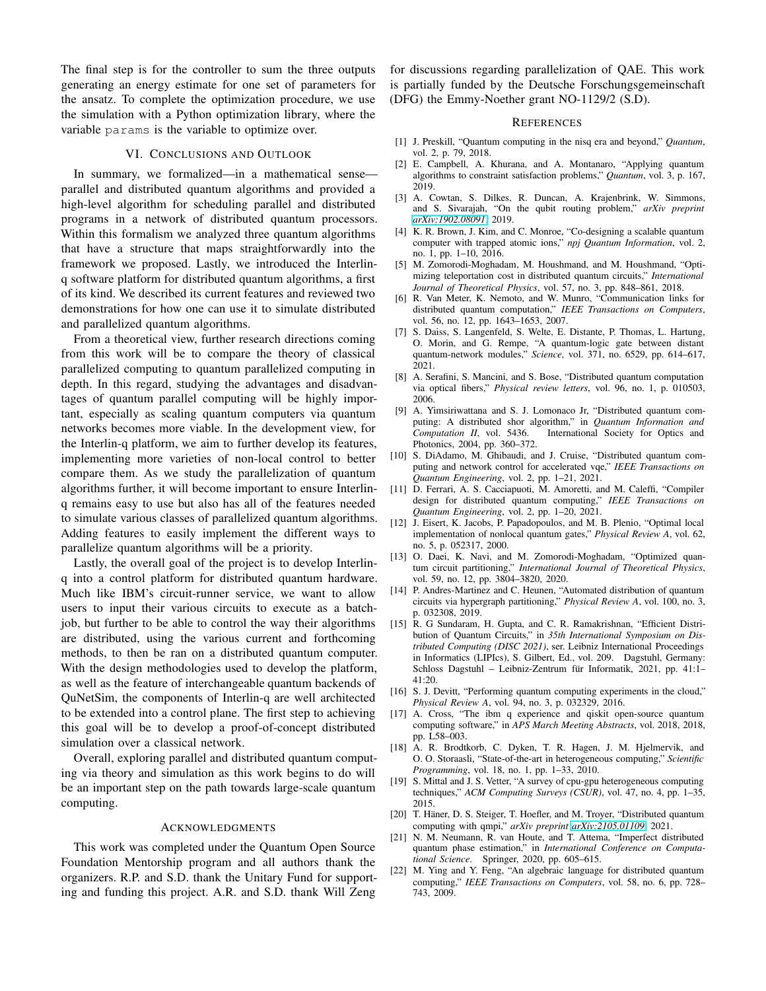The final step is for the controller to sum the three outputs generating an energy estimate for one set of parameters for the ansatz. To complete the optimization procedure, we use the simulation with a Python optimization library, where the variable params is the variable to optimize over.

#### VI. CONCLUSIONS AND OUTLOOK

In summary, we formalized—in a mathematical sense parallel and distributed quantum algorithms and provided a high-level algorithm for scheduling parallel and distributed programs in a network of distributed quantum processors. Within this formalism we analyzed three quantum algorithms that have a structure that maps straightforwardly into the framework we proposed. Lastly, we introduced the Interlinq software platform for distributed quantum algorithms, a first of its kind. We described its current features and reviewed two demonstrations for how one can use it to simulate distributed and parallelized quantum algorithms.

From a theoretical view, further research directions coming from this work will be to compare the theory of classical parallelized computing to quantum parallelized computing in depth. In this regard, studying the advantages and disadvantages of quantum parallel computing will be highly important, especially as scaling quantum computers via quantum networks becomes more viable. In the development view, for the Interlin-q platform, we aim to further develop its features, implementing more varieties of non-local control to better compare them. As we study the parallelization of quantum algorithms further, it will become important to ensure Interlinq remains easy to use but also has all of the features needed to simulate various classes of parallelized quantum algorithms. Adding features to easily implement the different ways to parallelize quantum algorithms will be a priority.

Lastly, the overall goal of the project is to develop Interlinq into a control platform for distributed quantum hardware. Much like IBM's circuit-runner service, we want to allow users to input their various circuits to execute as a batchjob, but further to be able to control the way their algorithms are distributed, using the various current and forthcoming methods, to then be ran on a distributed quantum computer. With the design methodologies used to develop the platform, as well as the feature of interchangeable quantum backends of QuNetSim, the components of Interlin-q are well architected to be extended into a control plane. The first step to achieving this goal will be to develop a proof-of-concept distributed simulation over a classical network.

Overall, exploring parallel and distributed quantum computing via theory and simulation as this work begins to do will be an important step on the path towards large-scale quantum computing.

#### ACKNOWLEDGMENTS

This work was completed under the Quantum Open Source Foundation Mentorship program and all authors thank the organizers. R.P. and S.D. thank the Unitary Fund for supporting and funding this project. A.R. and S.D. thank Will Zeng

for discussions regarding parallelization of QAE. This work is partially funded by the Deutsche Forschungsgemeinschaft (DFG) the Emmy-Noether grant NO-1129/2 (S.D).

#### **REFERENCES**

- <span id="page-9-0"></span>[1] J. Preskill, "Quantum computing in the nisq era and beyond," *Quantum*, vol. 2, p. 79, 2018.
- <span id="page-9-1"></span>[2] E. Campbell, A. Khurana, and A. Montanaro, "Applying quantum algorithms to constraint satisfaction problems," *Quantum*, vol. 3, p. 167, 2019.
- <span id="page-9-2"></span>[3] A. Cowtan, S. Dilkes, R. Duncan, A. Krajenbrink, W. Simmons, and S. Sivarajah, "On the qubit routing problem," *arXiv preprint [arXiv:1902.08091](http://arxiv.org/abs/1902.08091)*, 2019.
- <span id="page-9-3"></span>[4] K. R. Brown, J. Kim, and C. Monroe, "Co-designing a scalable quantum computer with trapped atomic ions," *npj Quantum Information*, vol. 2, no. 1, pp. 1–10, 2016.
- <span id="page-9-4"></span>[5] M. Zomorodi-Moghadam, M. Houshmand, and M. Houshmand, "Optimizing teleportation cost in distributed quantum circuits," *International Journal of Theoretical Physics*, vol. 57, no. 3, pp. 848–861, 2018.
- <span id="page-9-5"></span>[6] R. Van Meter, K. Nemoto, and W. Munro, "Communication links for distributed quantum computation," *IEEE Transactions on Computers*, vol. 56, no. 12, pp. 1643–1653, 2007.
- <span id="page-9-6"></span>[7] S. Daiss, S. Langenfeld, S. Welte, E. Distante, P. Thomas, L. Hartung, O. Morin, and G. Rempe, "A quantum-logic gate between distant quantum-network modules," *Science*, vol. 371, no. 6529, pp. 614–617, 2021.
- <span id="page-9-7"></span>[8] A. Serafini, S. Mancini, and S. Bose, "Distributed quantum computation via optical fibers," *Physical review letters*, vol. 96, no. 1, p. 010503, 2006.
- <span id="page-9-8"></span>[9] A. Yimsiriwattana and S. J. Lomonaco Jr, "Distributed quantum computing: A distributed shor algorithm," in *Quantum Information and Computation II*, vol. 5436. International Society for Optics and International Society for Optics and Photonics, 2004, pp. 360–372.
- <span id="page-9-9"></span>[10] S. DiAdamo, M. Ghibaudi, and J. Cruise, "Distributed quantum computing and network control for accelerated vqe," *IEEE Transactions on Quantum Engineering*, vol. 2, pp. 1–21, 2021.
- [11] D. Ferrari, A. S. Cacciapuoti, M. Amoretti, and M. Caleffi, "Compiler design for distributed quantum computing," *IEEE Transactions on Quantum Engineering*, vol. 2, pp. 1–20, 2021.
- [12] J. Eisert, K. Jacobs, P. Papadopoulos, and M. B. Plenio, "Optimal local implementation of nonlocal quantum gates," *Physical Review A*, vol. 62, no. 5, p. 052317, 2000.
- [13] O. Daei, K. Navi, and M. Zomorodi-Moghadam, "Optimized quantum circuit partitioning," *International Journal of Theoretical Physics*, vol. 59, no. 12, pp. 3804–3820, 2020.
- [14] P. Andres-Martinez and C. Heunen, "Automated distribution of quantum circuits via hypergraph partitioning," *Physical Review A*, vol. 100, no. 3, p. 032308, 2019.
- <span id="page-9-10"></span>[15] R. G Sundaram, H. Gupta, and C. R. Ramakrishnan, "Efficient Distribution of Quantum Circuits," in *35th International Symposium on Distributed Computing (DISC 2021)*, ser. Leibniz International Proceedings in Informatics (LIPIcs), S. Gilbert, Ed., vol. 209. Dagstuhl, Germany: Schloss Dagstuhl – Leibniz-Zentrum für Informatik, 2021, pp. 41:1-41:20.
- <span id="page-9-11"></span>[16] S. J. Devitt, "Performing quantum computing experiments in the cloud," *Physical Review A*, vol. 94, no. 3, p. 032329, 2016.
- <span id="page-9-12"></span>[17] A. Cross, "The ibm q experience and qiskit open-source quantum computing software," in *APS March Meeting Abstracts*, vol. 2018, 2018, pp. L58–003.
- <span id="page-9-13"></span>[18] A. R. Brodtkorb, C. Dyken, T. R. Hagen, J. M. Hjelmervik, and O. O. Storaasli, "State-of-the-art in heterogeneous computing," *Scientific Programming*, vol. 18, no. 1, pp. 1–33, 2010.
- <span id="page-9-14"></span>[19] S. Mittal and J. S. Vetter, "A survey of cpu-gpu heterogeneous computing techniques," *ACM Computing Surveys (CSUR)*, vol. 47, no. 4, pp. 1–35, 2015.
- <span id="page-9-15"></span>[20] T. Häner, D. S. Steiger, T. Hoefler, and M. Troyer, "Distributed quantum computing with qmpi," *arXiv preprint [arXiv:2105.01109](http://arxiv.org/abs/2105.01109)*, 2021.
- <span id="page-9-16"></span>[21] N. M. Neumann, R. van Houte, and T. Attema, "Imperfect distributed quantum phase estimation," in *International Conference on Computational Science*. Springer, 2020, pp. 605–615.
- <span id="page-9-17"></span>[22] M. Ying and Y. Feng, "An algebraic language for distributed quantum computing," *IEEE Transactions on Computers*, vol. 58, no. 6, pp. 728– 743, 2009.